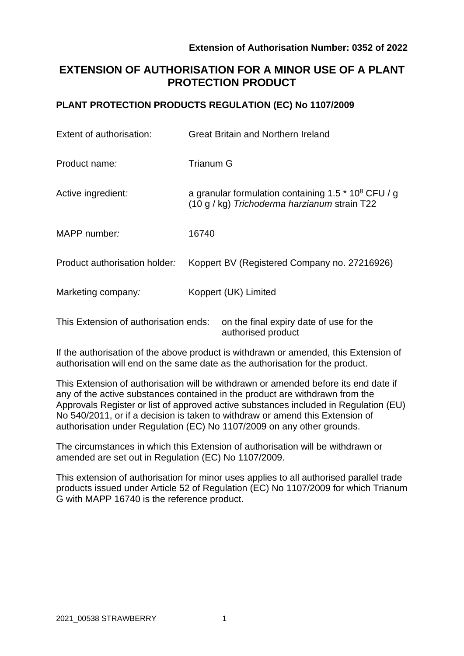# **EXTENSION OF AUTHORISATION FOR A MINOR USE OF A PLANT PROTECTION PRODUCT**

## **PLANT PROTECTION PRODUCTS REGULATION (EC) No 1107/2009**

| Extent of authorisation:              | <b>Great Britain and Northern Ireland</b>                                                                         |  |  |
|---------------------------------------|-------------------------------------------------------------------------------------------------------------------|--|--|
| Product name:                         | <b>Trianum G</b>                                                                                                  |  |  |
| Active ingredient:                    | a granular formulation containing 1.5 $*$ 10 <sup>8</sup> CFU / g<br>(10 g / kg) Trichoderma harzianum strain T22 |  |  |
| MAPP number:                          | 16740                                                                                                             |  |  |
| Product authorisation holder:         | Koppert BV (Registered Company no. 27216926)                                                                      |  |  |
| Marketing company:                    | Koppert (UK) Limited                                                                                              |  |  |
| This Extension of authorisation ends: | on the final expiry date of use for the                                                                           |  |  |

If the authorisation of the above product is withdrawn or amended, this Extension of authorisation will end on the same date as the authorisation for the product.

authorised product

This Extension of authorisation will be withdrawn or amended before its end date if any of the active substances contained in the product are withdrawn from the Approvals Register or list of approved active substances included in Regulation (EU) No 540/2011, or if a decision is taken to withdraw or amend this Extension of authorisation under Regulation (EC) No 1107/2009 on any other grounds.

The circumstances in which this Extension of authorisation will be withdrawn or amended are set out in Regulation (EC) No 1107/2009.

This extension of authorisation for minor uses applies to all authorised parallel trade products issued under Article 52 of Regulation (EC) No 1107/2009 for which Trianum G with MAPP 16740 is the reference product.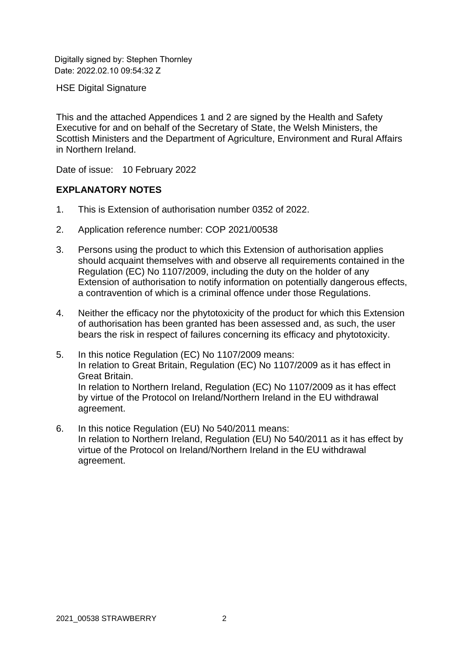Digitally signed by: Stephen Thornley Date: 2022.02.10 09:54:32 Z

HSE Digital Signature

This and the attached Appendices 1 and 2 are signed by the Health and Safety Executive for and on behalf of the Secretary of State, the Welsh Ministers, the Scottish Ministers and the Department of Agriculture, Environment and Rural Affairs in Northern Ireland.

Date of issue: 10 February 2022

## **EXPLANATORY NOTES**

- 1. This is Extension of authorisation number 0352 of 2022.
- 2. Application reference number: COP 2021/00538
- 3. Persons using the product to which this Extension of authorisation applies should acquaint themselves with and observe all requirements contained in the Regulation (EC) No 1107/2009, including the duty on the holder of any Extension of authorisation to notify information on potentially dangerous effects, a contravention of which is a criminal offence under those Regulations.
- 4. Neither the efficacy nor the phytotoxicity of the product for which this Extension of authorisation has been granted has been assessed and, as such, the user bears the risk in respect of failures concerning its efficacy and phytotoxicity.
- 5. In this notice Regulation (EC) No 1107/2009 means: In relation to Great Britain, Regulation (EC) No 1107/2009 as it has effect in Great Britain. In relation to Northern Ireland, Regulation (EC) No 1107/2009 as it has effect by virtue of the Protocol on Ireland/Northern Ireland in the EU withdrawal agreement.
- 6. In this notice Regulation (EU) No 540/2011 means: In relation to Northern Ireland, Regulation (EU) No 540/2011 as it has effect by virtue of the Protocol on Ireland/Northern Ireland in the EU withdrawal agreement.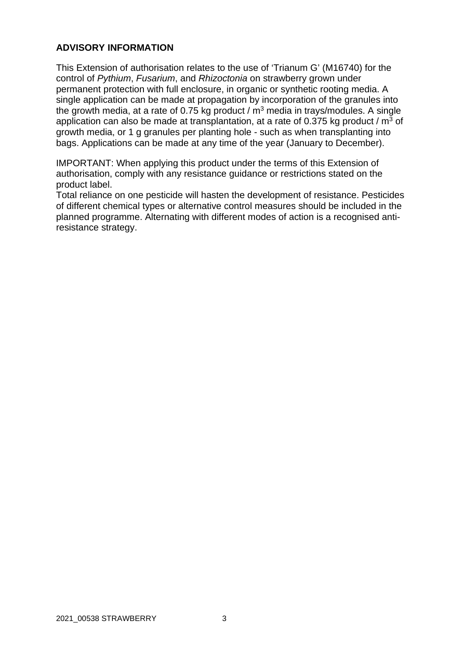## **ADVISORY INFORMATION**

This Extension of authorisation relates to the use of 'Trianum G' (M16740) for the control of *Pythium*, *Fusarium*, and *Rhizoctonia* on strawberry grown under permanent protection with full enclosure, in organic or synthetic rooting media. A single application can be made at propagation by incorporation of the granules into the growth media, at a rate of 0.75 kg product /  $m<sup>3</sup>$  media in trays/modules. A single application can also be made at transplantation, at a rate of 0.375 kg product /  $m^3$  of growth media, or 1 g granules per planting hole - such as when transplanting into bags. Applications can be made at any time of the year (January to December).

IMPORTANT: When applying this product under the terms of this Extension of authorisation, comply with any resistance guidance or restrictions stated on the product label.

Total reliance on one pesticide will hasten the development of resistance. Pesticides of different chemical types or alternative control measures should be included in the planned programme. Alternating with different modes of action is a recognised antiresistance strategy.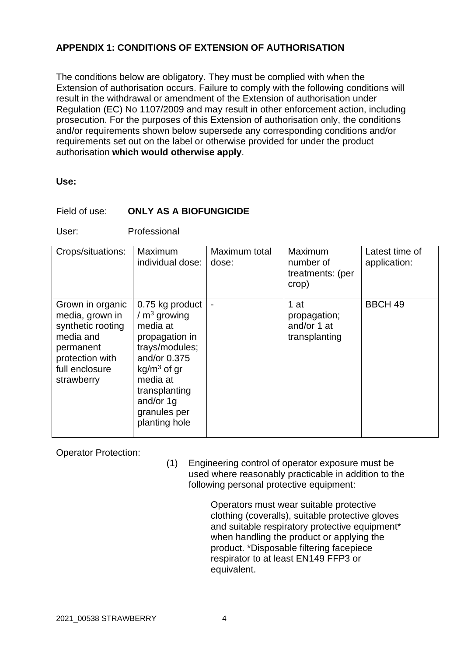## **APPENDIX 1: CONDITIONS OF EXTENSION OF AUTHORISATION**

The conditions below are obligatory. They must be complied with when the Extension of authorisation occurs. Failure to comply with the following conditions will result in the withdrawal or amendment of the Extension of authorisation under Regulation (EC) No 1107/2009 and may result in other enforcement action, including prosecution. For the purposes of this Extension of authorisation only, the conditions and/or requirements shown below supersede any corresponding conditions and/or requirements set out on the label or otherwise provided for under the product authorisation **which would otherwise apply**.

#### **Use:**

### Field of use: **ONLY AS A BIOFUNGICIDE**

User: Professional

| Crops/situations:                                                                                                                     | Maximum<br>individual dose:                                                                                                                                                                  | Maximum total<br>dose: | Maximum<br>number of<br>treatments: (per<br>crop)      | Latest time of<br>application: |
|---------------------------------------------------------------------------------------------------------------------------------------|----------------------------------------------------------------------------------------------------------------------------------------------------------------------------------------------|------------------------|--------------------------------------------------------|--------------------------------|
| Grown in organic<br>media, grown in<br>synthetic rooting<br>media and<br>permanent<br>protection with<br>full enclosure<br>strawberry | 0.75 kg product<br>$/m3$ growing<br>media at<br>propagation in<br>trays/modules;<br>and/or 0.375<br>$kg/m3$ of gr<br>media at<br>transplanting<br>and/or 1g<br>granules per<br>planting hole |                        | $1$ at<br>propagation;<br>and/or 1 at<br>transplanting | <b>BBCH 49</b>                 |

Operator Protection:

(1) Engineering control of operator exposure must be used where reasonably practicable in addition to the following personal protective equipment:

> Operators must wear suitable protective clothing (coveralls), suitable protective gloves and suitable respiratory protective equipment\* when handling the product or applying the product. \*Disposable filtering facepiece respirator to at least EN149 FFP3 or equivalent.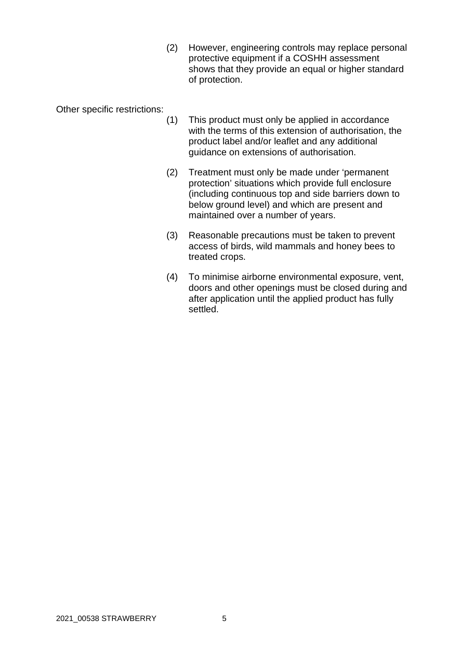(2) However, engineering controls may replace personal protective equipment if a COSHH assessment shows that they provide an equal or higher standard of protection.

Other specific restrictions:

- (1) This product must only be applied in accordance with the terms of this extension of authorisation, the product label and/or leaflet and any additional guidance on extensions of authorisation.
- (2) Treatment must only be made under 'permanent protection' situations which provide full enclosure (including continuous top and side barriers down to below ground level) and which are present and maintained over a number of years.
- (3) Reasonable precautions must be taken to prevent access of birds, wild mammals and honey bees to treated crops.
- (4) To minimise airborne environmental exposure, vent, doors and other openings must be closed during and after application until the applied product has fully settled.